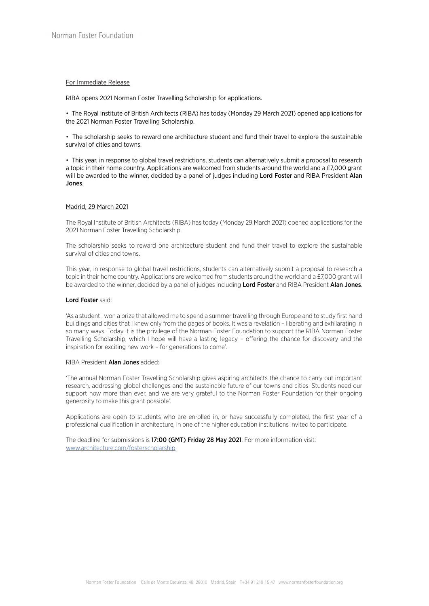# For Immediate Release

RIBA opens 2021 Norman Foster Travelling Scholarship for applications.

• The Royal Institute of British Architects (RIBA) has today (Monday 29 March 2021) opened applications for the 2021 Norman Foster Travelling Scholarship.

• The scholarship seeks to reward one architecture student and fund their travel to explore the sustainable survival of cities and towns.

• This year, in response to global travel restrictions, students can alternatively submit a proposal to research a topic in their home country. Applications are welcomed from students around the world and a £7,000 grant will be awarded to the winner, decided by a panel of judges including Lord Foster and RIBA President Alan Jones.

## Madrid, 29 March 2021

The Royal Institute of British Architects (RIBA) has today (Monday 29 March 2021) opened applications for the 2021 Norman Foster Travelling Scholarship.

The scholarship seeks to reward one architecture student and fund their travel to explore the sustainable survival of cities and towns.

This year, in response to global travel restrictions, students can alternatively submit a proposal to research a topic in their home country. Applications are welcomed from students around the world and a £7,000 grant will be awarded to the winner, decided by a panel of judges including Lord Foster and RIBA President Alan Jones.

#### Lord Foster said:

'As a student I won a prize that allowed me to spend a summer travelling through Europe and to study first hand buildings and cities that I knew only from the pages of books. It was a revelation – liberating and exhilarating in so many ways. Today it is the privilege of the Norman Foster Foundation to support the RIBA Norman Foster Travelling Scholarship, which I hope will have a lasting legacy – offering the chance for discovery and the inspiration for exciting new work – for generations to come'.

## RIBA President Alan Jones added:

'The annual Norman Foster Travelling Scholarship gives aspiring architects the chance to carry out important research, addressing global challenges and the sustainable future of our towns and cities. Students need our support now more than ever, and we are very grateful to the Norman Foster Foundation for their ongoing generosity to make this grant possible'.

Applications are open to students who are enrolled in, or have successfully completed, the first year of a professional qualification in architecture, in one of the higher education institutions invited to participate.

The deadline for submissions is 17:00 (GMT) Friday 28 May 2021. For more information visit: www.architecture.com/fosterscholarship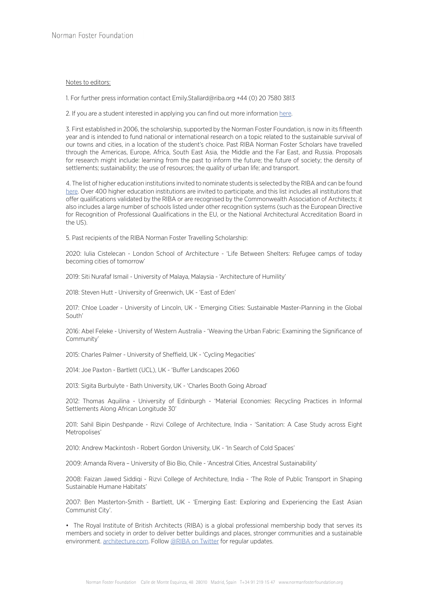# Notes to editors:

1. For further press information contact Emily.Stallard@riba.org +44 (0) 20 7580 3813

2. If you are a student interested in applying you can find out more information here.

3. First established in 2006, the scholarship, supported by the Norman Foster Foundation, is now in its fifteenth year and is intended to fund national or international research on a topic related to the sustainable survival of our towns and cities, in a location of the student's choice. Past RIBA Norman Foster Scholars have travelled through the Americas, Europe, Africa, South East Asia, the Middle and the Far East, and Russia. Proposals for research might include: learning from the past to inform the future; the future of society; the density of settlements; sustainability; the use of resources; the quality of urban life; and transport.

4. The list of higher education institutions invited to nominate students is selected by the RIBA and can be found here. Over 400 higher education institutions are invited to participate, and this list includes all institutions that offer qualifications validated by the RIBA or are recognised by the Commonwealth Association of Architects; it also includes a large number of schools listed under other recognition systems (such as the European Directive for Recognition of Professional Qualifications in the EU, or the National Architectural Accreditation Board in the US).

5. Past recipients of the RIBA Norman Foster Travelling Scholarship:

2020: Iulia Cistelecan - London School of Architecture - 'Life Between Shelters: Refugee camps of today becoming cities of tomorrow'

2019: Siti Nurafaf Ismail - University of Malaya, Malaysia - 'Architecture of Humility'

2018: Steven Hutt - University of Greenwich, UK - 'East of Eden'

2017: Chloe Loader - University of Lincoln, UK - 'Emerging Cities: Sustainable Master-Planning in the Global South'

2016: Abel Feleke - University of Western Australia - 'Weaving the Urban Fabric: Examining the Significance of Community'

2015: Charles Palmer - University of Sheffield, UK - 'Cycling Megacities'

2014: Joe Paxton - Bartlett (UCL), UK - 'Buffer Landscapes 2060

2013: Sigita Burbulyte - Bath University, UK - 'Charles Booth Going Abroad'

2012: Thomas Aquilina - University of Edinburgh - 'Material Economies: Recycling Practices in Informal Settlements Along African Longitude 30'

2011: Sahil Bipin Deshpande - Rizvi College of Architecture, India - 'Sanitation: A Case Study across Eight Metropolises'

2010: Andrew Mackintosh - Robert Gordon University, UK - 'In Search of Cold Spaces'

2009: Amanda Rivera – University of Bio Bio, Chile - 'Ancestral Cities, Ancestral Sustainability'

2008: Faizan Jawed Siddiqi - Rizvi College of Architecture, India - 'The Role of Public Transport in Shaping Sustainable Humane Habitats'

2007: Ben Masterton-Smith - Bartlett, UK - 'Emerging East: Exploring and Experiencing the East Asian Communist City'.

• The Royal Institute of British Architects (RIBA) is a global professional membership body that serves its members and society in order to deliver better buildings and places, stronger communities and a sustainable environment. architecture.com. Follow @RIBA on Twitter for regular updates.